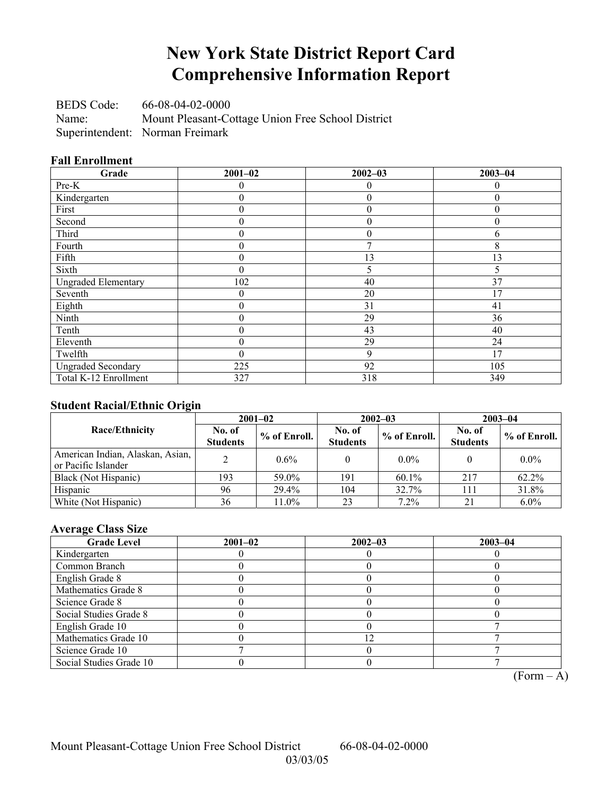# **New York State District Report Card Comprehensive Information Report**

BEDS Code: 66-08-04-02-0000 Name: Mount Pleasant-Cottage Union Free School District Superintendent: Norman Freimark

### **Fall Enrollment**

| Grade                      | $2001 - 02$      | $2002 - 03$    | $2003 - 04$ |
|----------------------------|------------------|----------------|-------------|
| Pre-K                      |                  | $\theta$       | 0           |
| Kindergarten               | $\boldsymbol{0}$ | $\mathbf{0}$   | $\theta$    |
| First                      | $\theta$         | $\overline{0}$ | $\theta$    |
| Second                     | 0                | $\theta$       | $\theta$    |
| Third                      | 0                | $\theta$       | 6           |
| Fourth                     | $\boldsymbol{0}$ | 7              | 8           |
| Fifth                      | $\overline{0}$   | 13             | 13          |
| Sixth                      | $\boldsymbol{0}$ | 5              | 5           |
| <b>Ungraded Elementary</b> | 102              | 40             | 37          |
| Seventh                    | $\overline{0}$   | 20             | 17          |
| Eighth                     | $\boldsymbol{0}$ | 31             | 41          |
| Ninth                      | $\boldsymbol{0}$ | 29             | 36          |
| Tenth                      | $\boldsymbol{0}$ | 43             | 40          |
| Eleventh                   | $\theta$         | 29             | 24          |
| Twelfth                    | $\theta$         | 9              | 17          |
| <b>Ungraded Secondary</b>  | 225              | 92             | 105         |
| Total K-12 Enrollment      | 327              | 318            | 349         |

### **Student Racial/Ethnic Origin**

|                                                         |                           | $2001 - 02$<br>$2002 - 03$ |                           | $2003 - 04$  |                           |                |
|---------------------------------------------------------|---------------------------|----------------------------|---------------------------|--------------|---------------------------|----------------|
| <b>Race/Ethnicity</b>                                   | No. of<br><b>Students</b> | $%$ of Enroll.             | No. of<br><b>Students</b> | % of Enroll. | No. of<br><b>Students</b> | $%$ of Enroll. |
| American Indian, Alaskan, Asian,<br>or Pacific Islander |                           | 0.6%                       |                           | $0.0\%$      |                           | $0.0\%$        |
| Black (Not Hispanic)                                    | 193                       | 59.0%                      | 191                       | $60.1\%$     | 217                       | 62.2%          |
| Hispanic                                                | 96                        | 29.4%                      | 104                       | 32.7%        | 11                        | 31.8%          |
| White (Not Hispanic)                                    | 36                        | 11.0%                      | 23                        | 7.2%         |                           | $6.0\%$        |

### **Average Class Size**

| <b>Grade Level</b>      | $2001 - 02$ | $2002 - 03$ | $2003 - 04$ |
|-------------------------|-------------|-------------|-------------|
| Kindergarten            |             |             |             |
| Common Branch           |             |             |             |
| English Grade 8         |             |             |             |
| Mathematics Grade 8     |             |             |             |
| Science Grade 8         |             |             |             |
| Social Studies Grade 8  |             |             |             |
| English Grade 10        |             |             |             |
| Mathematics Grade 10    |             |             |             |
| Science Grade 10        |             |             |             |
| Social Studies Grade 10 |             |             |             |

 $\overline{(Form - A)}$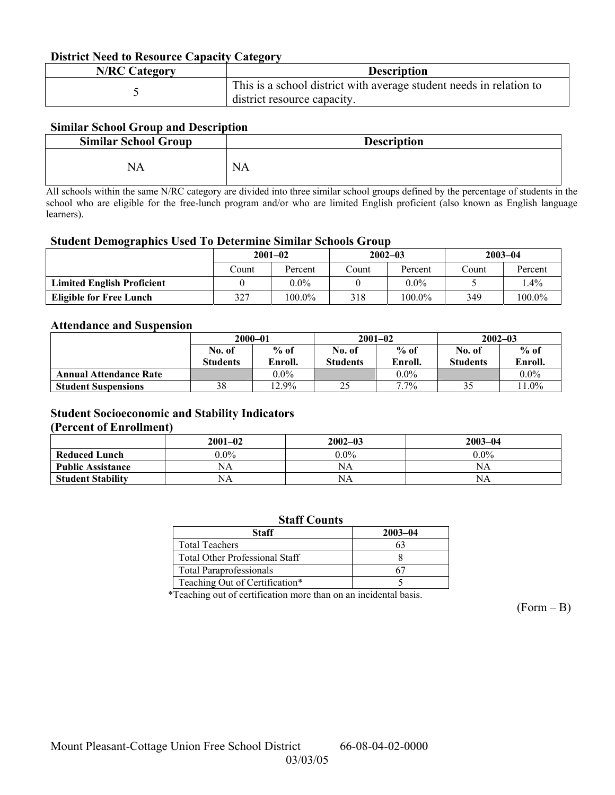### **District Need to Resource Capacity Category**

| <b>N/RC Category</b> | <b>Description</b>                                                                                 |
|----------------------|----------------------------------------------------------------------------------------------------|
|                      | This is a school district with average student needs in relation to<br>district resource capacity. |

### **Similar School Group and Description**

| <b>Similar School Group</b> | <b>Description</b> |
|-----------------------------|--------------------|
| NA                          | <b>NA</b>          |

All schools within the same N/RC category are divided into three similar school groups defined by the percentage of students in the school who are eligible for the free-lunch program and/or who are limited English proficient (also known as English language learners).

#### **Student Demographics Used To Determine Similar Schools Group**

|                                   | $2001 - 02$ |         | $2002 - 03$ |           | $2003 - 04$ |         |
|-----------------------------------|-------------|---------|-------------|-----------|-------------|---------|
|                                   | Count       | Percent | Count       | Percent   | Count       | Percent |
| <b>Limited English Proficient</b> |             | $0.0\%$ |             | $0.0\%$   |             | $.4\%$  |
| Eligible for Free Lunch           | 327         | 100.0%  | 318         | $100.0\%$ | 349         | 100.0%  |

### **Attendance and Suspension**

|                               | $2000 - 01$     |          |                 | $2001 - 02$ | $2002 - 03$     |          |
|-------------------------------|-----------------|----------|-----------------|-------------|-----------------|----------|
|                               | No. of          | $%$ of   | No. of          | $%$ of      | No. of          | $%$ of   |
|                               | <b>Students</b> | Enroll.  | <b>Students</b> | Enroll.     | <b>Students</b> | Enroll.  |
| <b>Annual Attendance Rate</b> |                 | $0.0\%$  |                 | $0.0\%$     |                 | $0.0\%$  |
| <b>Student Suspensions</b>    | 38              | $12.9\%$ | 25              | $7.7\%$     |                 | $11.0\%$ |

### **Student Socioeconomic and Stability Indicators**

#### **(Percent of Enrollment)**

|                          | $2001 - 02$ | $2002 - 03$ | $2003 - 04$ |
|--------------------------|-------------|-------------|-------------|
| <b>Reduced Lunch</b>     | $0.0\%$     | $0.0\%$     | $0.0\%$     |
| <b>Public Assistance</b> | NA          | NA          | NA          |
| <b>Student Stability</b> | NΑ          | NA          | NA.         |

| <b>Staff Counts</b>                   |             |  |  |  |  |
|---------------------------------------|-------------|--|--|--|--|
| Staff                                 | $2003 - 04$ |  |  |  |  |
| <b>Total Teachers</b>                 | 63          |  |  |  |  |
| <b>Total Other Professional Staff</b> |             |  |  |  |  |
| <b>Total Paraprofessionals</b>        |             |  |  |  |  |
| Teaching Out of Certification*        |             |  |  |  |  |

\*Teaching out of certification more than on an incidental basis.

 $(Form - B)$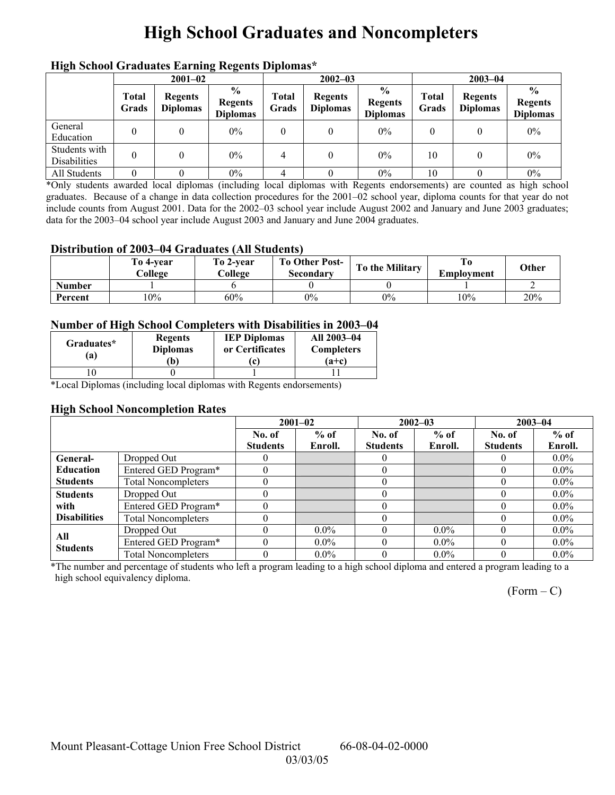# **High School Graduates and Noncompleters**

|                                      | mgn benoor Grauuates Larming regents Diplomas |                                   |                                                     |                       |                                   |                                                    |                |                                   |                                                    |  |
|--------------------------------------|-----------------------------------------------|-----------------------------------|-----------------------------------------------------|-----------------------|-----------------------------------|----------------------------------------------------|----------------|-----------------------------------|----------------------------------------------------|--|
|                                      | $2001 - 02$                                   |                                   |                                                     |                       | $2002 - 03$                       |                                                    |                | $2003 - 04$                       |                                                    |  |
|                                      | <b>Total</b><br>Grads                         | <b>Regents</b><br><b>Diplomas</b> | $\frac{6}{10}$<br><b>Regents</b><br><b>Diplomas</b> | <b>Total</b><br>Grads | <b>Regents</b><br><b>Diplomas</b> | $\frac{6}{6}$<br><b>Regents</b><br><b>Diplomas</b> | Total<br>Grads | <b>Regents</b><br><b>Diplomas</b> | $\frac{0}{0}$<br><b>Regents</b><br><b>Diplomas</b> |  |
| General<br>Education                 |                                               |                                   | $0\%$                                               | $\theta$              |                                   | $0\%$                                              |                |                                   | $0\%$                                              |  |
| Students with<br><b>Disabilities</b> |                                               |                                   | $0\%$                                               | 4                     |                                   | $0\%$                                              | 10             |                                   | $0\%$                                              |  |
| All Students                         |                                               |                                   | $0\%$                                               | 4                     |                                   | $0\%$                                              | 10             |                                   | $0\%$                                              |  |

### **High School Graduates Earning Regents Diplomas\***

\*Only students awarded local diplomas (including local diplomas with Regents endorsements) are counted as high school graduates. Because of a change in data collection procedures for the 2001–02 school year, diploma counts for that year do not include counts from August 2001. Data for the 2002–03 school year include August 2002 and January and June 2003 graduates; data for the 2003–04 school year include August 2003 and January and June 2004 graduates.

### **Distribution of 2003–04 Graduates (All Students)**

|               | To 4-vear<br>College | To 2-year<br>College | <b>To Other Post-</b><br>Secondary | To the Military | Emplovment | Other |
|---------------|----------------------|----------------------|------------------------------------|-----------------|------------|-------|
| <b>Number</b> |                      |                      |                                    |                 |            |       |
| Percent       | 10%                  | 60%                  | $0\%$                              | $0\%$           | 10%        | 20%   |

### **Number of High School Completers with Disabilities in 2003–04**

| Graduates*<br>$\bf{a)}$ | <b>Regents</b><br><b>Diplomas</b><br>Ъ, | <b>IEP Diplomas</b><br>or Certificates<br>$\mathbf{c}$ | All 2003-04<br><b>Completers</b><br>$(a+c)$ |
|-------------------------|-----------------------------------------|--------------------------------------------------------|---------------------------------------------|
|                         |                                         |                                                        |                                             |
| $\sim$                  | . .                                     | . .<br>$\sim$                                          |                                             |

\*Local Diplomas (including local diplomas with Regents endorsements)

### **High School Noncompletion Rates**

|                     |                            |                 | $2001 - 02$ |                 | $2002 - 03$ |                 | $2003 - 04$ |
|---------------------|----------------------------|-----------------|-------------|-----------------|-------------|-----------------|-------------|
|                     |                            | No. of          | $%$ of      | No. of          | $%$ of      | No. of          | $%$ of      |
|                     |                            | <b>Students</b> | Enroll.     | <b>Students</b> | Enroll.     | <b>Students</b> | Enroll.     |
| General-            | Dropped Out                |                 |             |                 |             |                 | $0.0\%$     |
| <b>Education</b>    | Entered GED Program*       |                 |             |                 |             |                 | $0.0\%$     |
| <b>Students</b>     | <b>Total Noncompleters</b> |                 |             |                 |             |                 | $0.0\%$     |
| <b>Students</b>     | Dropped Out                |                 |             |                 |             |                 | $0.0\%$     |
| with                | Entered GED Program*       |                 |             |                 |             |                 | $0.0\%$     |
| <b>Disabilities</b> | <b>Total Noncompleters</b> |                 |             |                 |             |                 | $0.0\%$     |
| All                 | Dropped Out                |                 | $0.0\%$     |                 | $0.0\%$     |                 | $0.0\%$     |
| <b>Students</b>     | Entered GED Program*       |                 | $0.0\%$     |                 | $0.0\%$     |                 | $0.0\%$     |
|                     | <b>Total Noncompleters</b> |                 | $0.0\%$     |                 | $0.0\%$     |                 | $0.0\%$     |

\*The number and percentage of students who left a program leading to a high school diploma and entered a program leading to a high school equivalency diploma.

 $(Form - C)$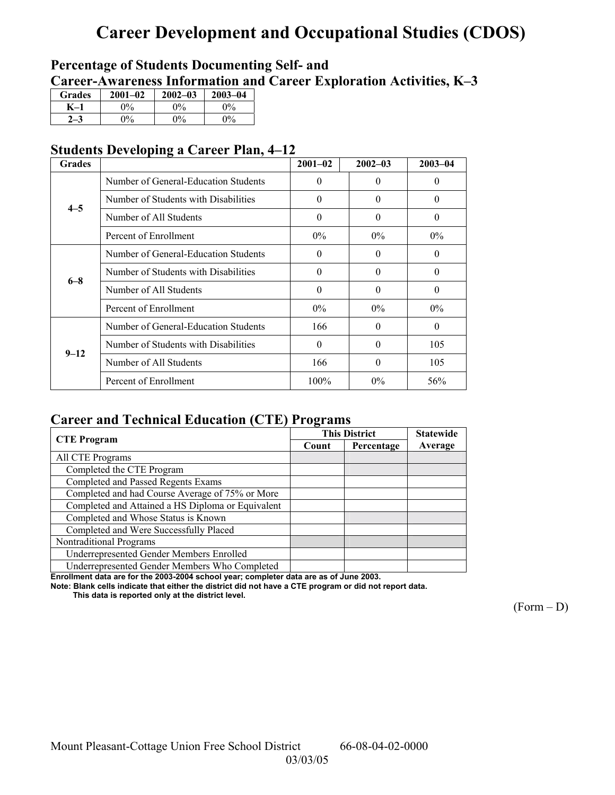# **Career Development and Occupational Studies (CDOS)**

## **Percentage of Students Documenting Self- and**  Career-Awareness Information and Career Exploration Activities, K-3

| <b>Grades</b> | $2001 - 02$ | $2002 - 03$ | $2003 - 04$ |
|---------------|-------------|-------------|-------------|
|               | 0%          | $0\%$       | $2\%$       |
|               | $0\%$       | $0\%$       | $0\%$       |

## **Students Developing a Career Plan, 4–12**

| <b>Grades</b> |                                      | $2001 - 02$ | $2002 - 03$ | $2003 - 04$ |
|---------------|--------------------------------------|-------------|-------------|-------------|
|               | Number of General-Education Students | $\theta$    | $\Omega$    | $\theta$    |
| $4 - 5$       | Number of Students with Disabilities | $\theta$    | $\Omega$    | $\theta$    |
|               | Number of All Students               | $\theta$    | $\Omega$    | $\theta$    |
|               | Percent of Enrollment                | $0\%$       | $0\%$       | $0\%$       |
|               | Number of General-Education Students | $\theta$    | $\Omega$    | 0           |
| $6 - 8$       | Number of Students with Disabilities | $\Omega$    | $\Omega$    | $\Omega$    |
|               | Number of All Students               | $\theta$    | $\Omega$    | $\Omega$    |
|               | Percent of Enrollment                | $0\%$       | $0\%$       | $0\%$       |
|               | Number of General-Education Students | 166         | $\Omega$    | $\Omega$    |
| $9 - 12$      | Number of Students with Disabilities | $\theta$    | $\Omega$    | 105         |
|               | Number of All Students               | 166         | $\Omega$    | 105         |
|               | Percent of Enrollment                | $100\%$     | $0\%$       | 56%         |

## **Career and Technical Education (CTE) Programs**

|                                                   |       | <b>This District</b> | <b>Statewide</b> |
|---------------------------------------------------|-------|----------------------|------------------|
| <b>CTE</b> Program                                | Count | Percentage           | Average          |
| All CTE Programs                                  |       |                      |                  |
| Completed the CTE Program                         |       |                      |                  |
| Completed and Passed Regents Exams                |       |                      |                  |
| Completed and had Course Average of 75% or More   |       |                      |                  |
| Completed and Attained a HS Diploma or Equivalent |       |                      |                  |
| Completed and Whose Status is Known               |       |                      |                  |
| Completed and Were Successfully Placed            |       |                      |                  |
| Nontraditional Programs                           |       |                      |                  |
| Underrepresented Gender Members Enrolled          |       |                      |                  |
| Underrepresented Gender Members Who Completed     |       |                      |                  |

**Enrollment data are for the 2003-2004 school year; completer data are as of June 2003.** 

**Note: Blank cells indicate that either the district did not have a CTE program or did not report data.** 

 **This data is reported only at the district level.** 

 $(Form - D)$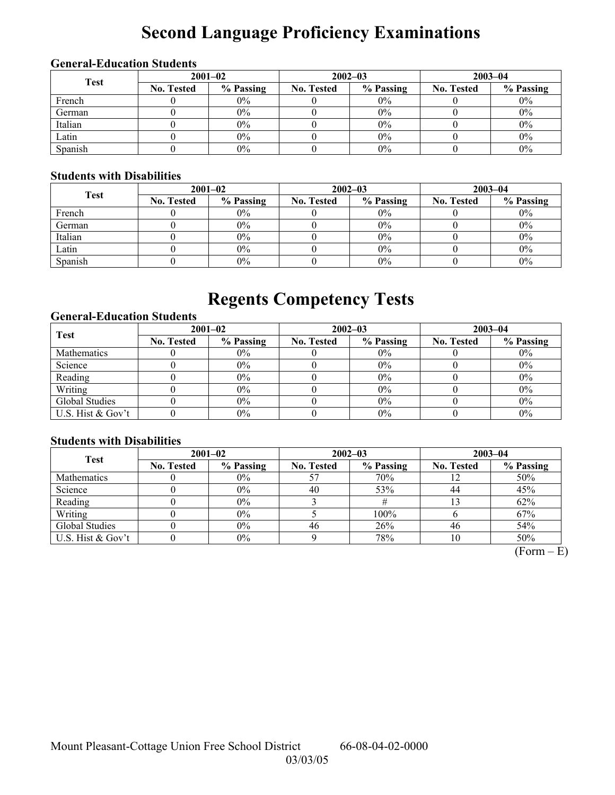# **Second Language Proficiency Examinations**

## **General-Education Students**

| <b>Test</b> | $2001 - 02$       |           |                   | $2002 - 03$ | $2003 - 04$       |           |  |
|-------------|-------------------|-----------|-------------------|-------------|-------------------|-----------|--|
|             | <b>No. Tested</b> | % Passing | <b>No. Tested</b> | % Passing   | <b>No. Tested</b> | % Passing |  |
| French      |                   | $0\%$     |                   | $0\%$       |                   | $0\%$     |  |
| German      |                   | $0\%$     |                   | $0\%$       |                   | $0\%$     |  |
| Italian     |                   | $0\%$     |                   | $0\%$       |                   | $0\%$     |  |
| Latin       |                   | $0\%$     |                   | $0\%$       |                   | $0\%$     |  |
| Spanish     |                   | $0\%$     |                   | 0%          |                   | $0\%$     |  |

## **Students with Disabilities**

| <b>Test</b> | $2001 - 02$       |           |                   | $2002 - 03$ | $2003 - 04$       |           |  |
|-------------|-------------------|-----------|-------------------|-------------|-------------------|-----------|--|
|             | <b>No. Tested</b> | % Passing | <b>No. Tested</b> | % Passing   | <b>No. Tested</b> | % Passing |  |
| French      |                   | $0\%$     |                   | $0\%$       |                   | $0\%$     |  |
| German      |                   | $0\%$     |                   | $0\%$       |                   | $0\%$     |  |
| Italian     |                   | $0\%$     |                   | 0%          |                   | $0\%$     |  |
| Latin       |                   | $0\%$     |                   | 0%          |                   | $0\%$     |  |
| Spanish     |                   | $0\%$     |                   | 0%          |                   | $0\%$     |  |

# **Regents Competency Tests**

### **General-Education Students**

| <b>Test</b>       | $2001 - 02$       |           |                   | $2002 - 03$ | $2003 - 04$       |           |  |
|-------------------|-------------------|-----------|-------------------|-------------|-------------------|-----------|--|
|                   | <b>No. Tested</b> | % Passing | <b>No. Tested</b> | % Passing   | <b>No. Tested</b> | % Passing |  |
| Mathematics       |                   | $0\%$     |                   | $0\%$       |                   | $0\%$     |  |
| Science           |                   | $0\%$     |                   | $0\%$       |                   | $0\%$     |  |
| Reading           |                   | $0\%$     |                   | $0\%$       |                   | $0\%$     |  |
| Writing           |                   | $0\%$     |                   | $0\%$       |                   | $0\%$     |  |
| Global Studies    |                   | $0\%$     |                   | 0%          |                   | $0\%$     |  |
| U.S. Hist & Gov't |                   | $0\%$     |                   | 0%          |                   | $0\%$     |  |

### **Students with Disabilities**

| <b>Test</b>        | $2001 - 02$       |           | $2002 - 03$       |           | $2003 - 04$       |           |  |
|--------------------|-------------------|-----------|-------------------|-----------|-------------------|-----------|--|
|                    | <b>No. Tested</b> | % Passing | <b>No. Tested</b> | % Passing | <b>No. Tested</b> | % Passing |  |
| <b>Mathematics</b> |                   | $0\%$     |                   | 70%       |                   | 50%       |  |
| Science            |                   | $0\%$     | 40                | 53%       | 44                | 45%       |  |
| Reading            |                   | $0\%$     |                   |           |                   | 62%       |  |
| Writing            |                   | $0\%$     |                   | 100%      |                   | 67%       |  |
| Global Studies     |                   | $0\%$     | 46                | 26%       | 46                | 54%       |  |
| U.S. Hist & Gov't  |                   | $0\%$     |                   | 78%       | 10                | 50%       |  |

 $(Form - E)$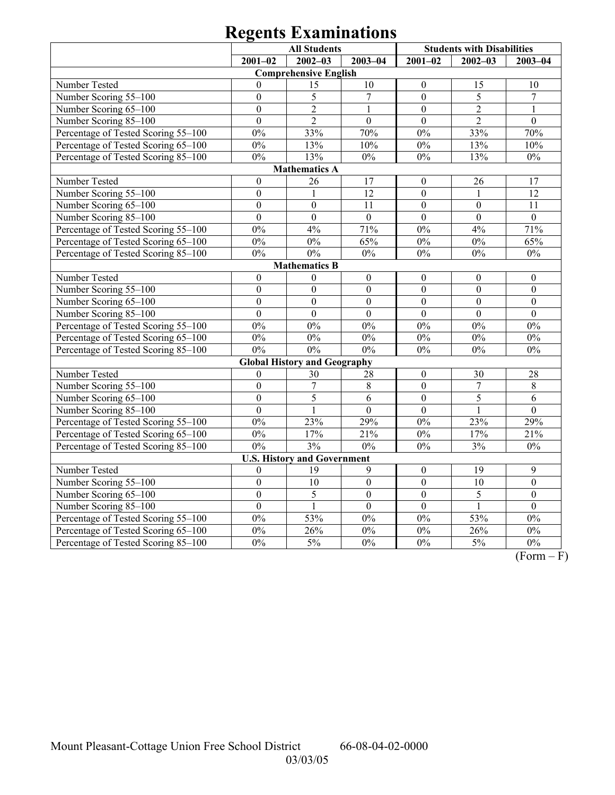# **Regents Examinations**

|                                     | <b>All Students</b> |                                     |                  | <b>Students with Disabilities</b> |                  |                  |
|-------------------------------------|---------------------|-------------------------------------|------------------|-----------------------------------|------------------|------------------|
|                                     | $2001 - 02$         | $2002 - 03$                         | $2003 - 04$      | $2001 - 02$                       | $2002 - 03$      | $2003 - 04$      |
|                                     |                     | <b>Comprehensive English</b>        |                  |                                   |                  |                  |
| Number Tested                       | $\Omega$            | 15                                  | 10               | $\theta$                          | 15               | 10               |
| Number Scoring 55-100               | $\mathbf{0}$        | 5                                   | $\overline{7}$   | $\mathbf{0}$                      | 5                | $\overline{7}$   |
| Number Scoring 65-100               | $\overline{0}$      | $\overline{2}$                      | $\mathbf{1}$     | $\overline{0}$                    | $\overline{2}$   | 1                |
| Number Scoring 85-100               | $\overline{0}$      | $\overline{2}$                      | $\overline{0}$   | $\overline{0}$                    | $\overline{2}$   | $\overline{0}$   |
| Percentage of Tested Scoring 55-100 | $0\%$               | 33%                                 | 70%              | 0%                                | 33%              | 70%              |
| Percentage of Tested Scoring 65-100 | $0\%$               | 13%                                 | 10%              | $0\%$                             | 13%              | 10%              |
| Percentage of Tested Scoring 85-100 | $0\%$               | 13%                                 | $0\%$            | $0\%$                             | 13%              | $0\%$            |
|                                     |                     | <b>Mathematics A</b>                |                  |                                   |                  |                  |
| Number Tested                       | $\boldsymbol{0}$    | 26                                  | 17               | $\boldsymbol{0}$                  | 26               | 17               |
| Number Scoring 55-100               | $\mathbf{0}$        | $\mathbf{1}$                        | $\overline{12}$  | $\overline{0}$                    | $\mathbf{1}$     | 12               |
| Number Scoring 65-100               | $\mathbf{0}$        | $\mathbf{0}$                        | 11               | $\overline{0}$                    | $\overline{0}$   | 11               |
| Number Scoring 85-100               | $\overline{0}$      | $\overline{0}$                      | $\overline{0}$   | $\overline{0}$                    | $\overline{0}$   | $\overline{0}$   |
| Percentage of Tested Scoring 55-100 | $0\%$               | 4%                                  | 71%              | $0\%$                             | 4%               | 71%              |
| Percentage of Tested Scoring 65-100 | 0%                  | $0\%$                               | 65%              | $0\%$                             | $0\%$            | 65%              |
| Percentage of Tested Scoring 85-100 | $0\%$               | $0\%$                               | $0\%$            | $0\%$                             | $0\%$            | $0\%$            |
|                                     |                     | <b>Mathematics B</b>                |                  |                                   |                  |                  |
| Number Tested                       | $\boldsymbol{0}$    | $\boldsymbol{0}$                    | $\boldsymbol{0}$ | $\boldsymbol{0}$                  | $\boldsymbol{0}$ | $\boldsymbol{0}$ |
| Number Scoring 55-100               | $\boldsymbol{0}$    | $\overline{0}$                      | $\overline{0}$   | $\mathbf{0}$                      | $\mathbf{0}$     | $\mathbf{0}$     |
| Number Scoring 65-100               | $\boldsymbol{0}$    | $\mathbf{0}$                        | $\boldsymbol{0}$ | $\mathbf{0}$                      | $\mathbf{0}$     | $\boldsymbol{0}$ |
| Number Scoring 85-100               | $\boldsymbol{0}$    | $\mathbf{0}$                        | $\mathbf{0}$     | $\mathbf{0}$                      | $\mathbf{0}$     | $\mathbf{0}$     |
| Percentage of Tested Scoring 55-100 | $0\%$               | $0\%$                               | $0\%$            | $0\%$                             | $0\%$            | $0\%$            |
| Percentage of Tested Scoring 65-100 | 0%                  | 0%                                  | 0%               | $0\%$                             | 0%               | 0%               |
| Percentage of Tested Scoring 85-100 | 0%                  | $0\%$                               | $0\%$            | $0\%$                             | 0%               | $0\%$            |
|                                     |                     | <b>Global History and Geography</b> |                  |                                   |                  |                  |
| Number Tested                       | $\mathbf{0}$        | 30                                  | 28               | $\boldsymbol{0}$                  | 30               | 28               |
| Number Scoring 55-100               | $\overline{0}$      | $\overline{7}$                      | $8\,$            | $\overline{0}$                    | $\boldsymbol{7}$ | 8                |
| Number Scoring 65-100               | $\overline{0}$      | 5                                   | 6                | $\mathbf{0}$                      | 5                | 6                |
| Number Scoring 85-100               | $\boldsymbol{0}$    | $\mathbf{1}$                        | $\boldsymbol{0}$ | $\overline{0}$                    | 1                | $\boldsymbol{0}$ |
| Percentage of Tested Scoring 55-100 | $0\%$               | 23%                                 | 29%              | 0%                                | 23%              | 29%              |
| Percentage of Tested Scoring 65-100 | 0%                  | 17%                                 | 21%              | 0%                                | 17%              | 21%              |
| Percentage of Tested Scoring 85-100 | 0%                  | 3%                                  | 0%               | 0%                                | 3%               | $\overline{0\%}$ |
|                                     |                     | <b>U.S. History and Government</b>  |                  |                                   |                  |                  |
| Number Tested                       | $\mathbf{0}$        | 19                                  | 9                | $\mathbf{0}$                      | 19               | 9                |
| Number Scoring 55-100               | $\mathbf{0}$        | 10                                  | $\boldsymbol{0}$ | $\overline{0}$                    | $\overline{10}$  | $\overline{0}$   |
| Number Scoring 65-100               | $\overline{0}$      | 5                                   | $\boldsymbol{0}$ | $\mathbf{0}$                      | 5                | $\mathbf{0}$     |
| Number Scoring 85-100               | $\overline{0}$      | $\mathbf{1}$                        | $\overline{0}$   | $\overline{0}$                    | $\mathbf{1}$     | $\overline{0}$   |
| Percentage of Tested Scoring 55-100 | 0%                  | 53%                                 | $0\%$            | $0\%$                             | 53%              | $0\%$            |
| Percentage of Tested Scoring 65-100 | $\overline{0\%}$    | 26%                                 | 0%               | $\overline{0\%}$                  | 26%              | $\overline{0\%}$ |
| Percentage of Tested Scoring 85-100 | 0%                  | $\frac{5\%}{ }$                     | 0%               | 0%                                | 5%               | 0%               |

 $\overline{(Form - F)}$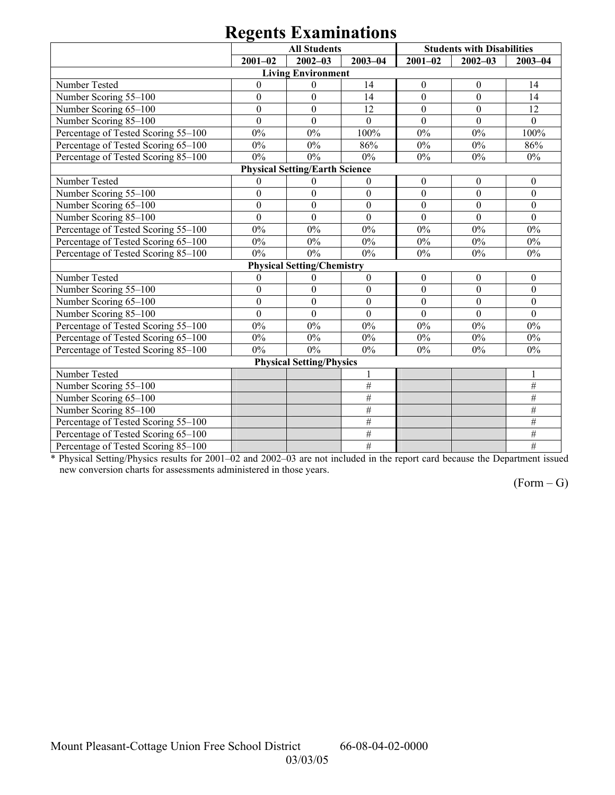# **Regents Examinations**

|                                     | <b>All Students</b> |                                       |                  |                  | <b>Students with Disabilities</b> |                 |  |  |
|-------------------------------------|---------------------|---------------------------------------|------------------|------------------|-----------------------------------|-----------------|--|--|
|                                     | $2001 - 02$         | $2002 - 03$                           | $2003 - 04$      | $2001 - 02$      | $2002 - 03$                       | $2003 - 04$     |  |  |
|                                     |                     | <b>Living Environment</b>             |                  |                  |                                   |                 |  |  |
| Number Tested                       | $\theta$            | $\boldsymbol{0}$                      | 14               | $\boldsymbol{0}$ | $\boldsymbol{0}$                  | 14              |  |  |
| Number Scoring 55-100               | $\boldsymbol{0}$    | $\boldsymbol{0}$                      | 14               | $\boldsymbol{0}$ | $\boldsymbol{0}$                  | 14              |  |  |
| Number Scoring 65-100               | $\mathbf{0}$        | $\overline{0}$                        | 12               | $\overline{0}$   | $\overline{0}$                    | 12              |  |  |
| Number Scoring 85-100               | $\mathbf{0}$        | $\mathbf{0}$                          | $\theta$         | $\mathbf{0}$     | $\mathbf{0}$                      | $\mathbf{0}$    |  |  |
| Percentage of Tested Scoring 55-100 | 0%                  | 0%                                    | 100%             | $0\%$            | 0%                                | 100%            |  |  |
| Percentage of Tested Scoring 65-100 | $0\%$               | $0\%$                                 | 86%              | $0\%$            | $0\%$                             | 86%             |  |  |
| Percentage of Tested Scoring 85-100 | $0\%$               | $0\%$                                 | $0\%$            | $0\%$            | $0\%$                             | $0\%$           |  |  |
|                                     |                     | <b>Physical Setting/Earth Science</b> |                  |                  |                                   |                 |  |  |
| Number Tested                       | $\mathbf{0}$        | $\theta$                              | $\mathbf{0}$     | $\boldsymbol{0}$ | $\mathbf{0}$                      | $\theta$        |  |  |
| Number Scoring 55-100               | $\boldsymbol{0}$    | $\boldsymbol{0}$                      | $\boldsymbol{0}$ | $\boldsymbol{0}$ | $\boldsymbol{0}$                  | $\mathbf{0}$    |  |  |
| Number Scoring 65-100               | $\boldsymbol{0}$    | $\overline{0}$                        | $\mathbf{0}$     | $\overline{0}$   | $\boldsymbol{0}$                  | $\mathbf{0}$    |  |  |
| Number Scoring 85-100               | $\boldsymbol{0}$    | $\boldsymbol{0}$                      | $\boldsymbol{0}$ | $\boldsymbol{0}$ | $\mathbf{0}$                      | $\mathbf{0}$    |  |  |
| Percentage of Tested Scoring 55-100 | $0\%$               | $0\%$                                 | $0\%$            | $0\%$            | $0\%$                             | $0\%$           |  |  |
| Percentage of Tested Scoring 65-100 | $0\%$               | $0\%$                                 | $0\%$            | $0\%$            | $0\%$                             | $0\%$           |  |  |
| Percentage of Tested Scoring 85-100 | $0\%$               | $0\%$                                 | $0\%$            | 0%               | 0%                                | $0\%$           |  |  |
|                                     |                     | <b>Physical Setting/Chemistry</b>     |                  |                  |                                   |                 |  |  |
| Number Tested                       | $\mathbf{0}$        | $\theta$                              | $\boldsymbol{0}$ | $\boldsymbol{0}$ | $\boldsymbol{0}$                  | $\theta$        |  |  |
| Number Scoring 55-100               | $\boldsymbol{0}$    | $\mathbf{0}$                          | $\boldsymbol{0}$ | $\boldsymbol{0}$ | $\overline{0}$                    | $\theta$        |  |  |
| Number Scoring 65-100               | $\overline{0}$      | $\overline{0}$                        | $\overline{0}$   | $\overline{0}$   | $\overline{0}$                    | $\overline{0}$  |  |  |
| Number Scoring 85-100               | $\overline{0}$      | $\theta$                              | $\overline{0}$   | $\overline{0}$   | $\theta$                          | $\theta$        |  |  |
| Percentage of Tested Scoring 55-100 | 0%                  | $0\%$                                 | $0\%$            | $0\%$            | $0\%$                             | $0\%$           |  |  |
| Percentage of Tested Scoring 65-100 | 0%                  | $0\%$                                 | $0\%$            | 0%               | $0\%$                             | 0%              |  |  |
| Percentage of Tested Scoring 85-100 | $0\%$               | $0\%$                                 | $0\%$            | 0%               | $0\%$                             | $0\%$           |  |  |
|                                     |                     | <b>Physical Setting/Physics</b>       |                  |                  |                                   |                 |  |  |
| Number Tested                       |                     |                                       | $\mathbf{1}$     |                  |                                   |                 |  |  |
| Number Scoring 55-100               |                     |                                       | $\#$             |                  |                                   | $\overline{\#}$ |  |  |
| Number Scoring 65-100               |                     |                                       | $\#$             |                  |                                   | $\#$            |  |  |
| Number Scoring 85-100               |                     |                                       | $\#$             |                  |                                   | #               |  |  |
| Percentage of Tested Scoring 55-100 |                     |                                       | $\#$             |                  |                                   | $\#$            |  |  |
| Percentage of Tested Scoring 65-100 |                     |                                       | $\#$             |                  |                                   | $\#$            |  |  |
| Percentage of Tested Scoring 85-100 |                     |                                       | $\overline{\#}$  |                  |                                   | #               |  |  |

\* Physical Setting/Physics results for 2001–02 and 2002–03 are not included in the report card because the Department issued new conversion charts for assessments administered in those years.

 $(Form - G)$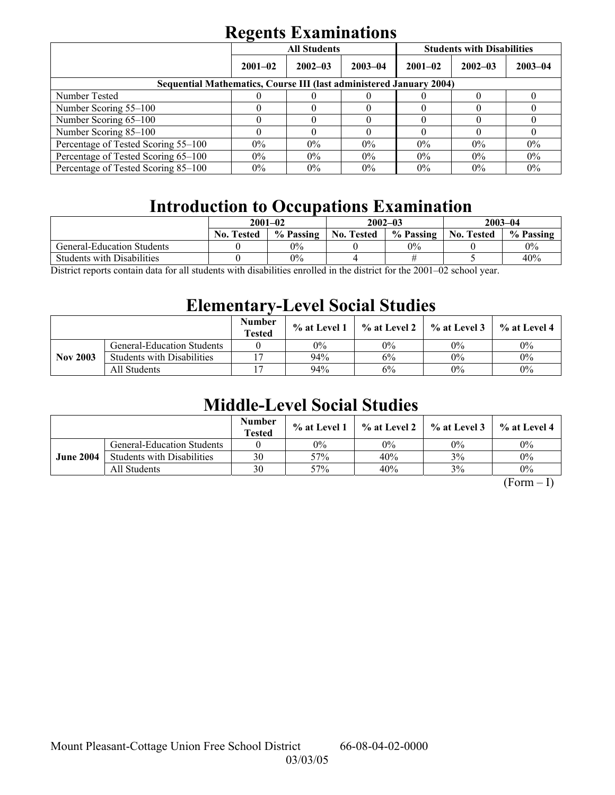# **Regents Examinations**

|                                                                            | -           | <b>All Students</b> |              | <b>Students with Disabilities</b> |             |             |  |  |  |
|----------------------------------------------------------------------------|-------------|---------------------|--------------|-----------------------------------|-------------|-------------|--|--|--|
|                                                                            | $2001 - 02$ | $2002 - 03$         | $2003 - 04$  | $2001 - 02$                       | $2002 - 03$ | $2003 - 04$ |  |  |  |
| <b>Sequential Mathematics, Course III (last administered January 2004)</b> |             |                     |              |                                   |             |             |  |  |  |
| Number Tested                                                              |             |                     |              |                                   |             |             |  |  |  |
| Number Scoring 55–100                                                      |             |                     | $\mathbf{U}$ | $\mathbf{U}$                      |             |             |  |  |  |
| Number Scoring 65-100                                                      |             |                     |              |                                   |             |             |  |  |  |
| Number Scoring 85-100                                                      |             |                     |              |                                   |             | U           |  |  |  |
| Percentage of Tested Scoring 55-100                                        | $0\%$       | $0\%$               | $0\%$        | $0\%$                             | $0\%$       | $0\%$       |  |  |  |
| Percentage of Tested Scoring 65-100                                        | $0\%$       | $0\%$               | $0\%$        | $0\%$                             | $0\%$       | $0\%$       |  |  |  |
| Percentage of Tested Scoring 85–100                                        | $0\%$       | $0\%$               | $0\%$        | $0\%$                             | $0\%$       | $0\%$       |  |  |  |

# **Introduction to Occupations Examination**

|                                   | $2001 - 02$                                     |           |                   | $2002 - 03$                                         | $2003 - 04$       |           |
|-----------------------------------|-------------------------------------------------|-----------|-------------------|-----------------------------------------------------|-------------------|-----------|
|                                   | <b>No. Tested</b>                               | % Passing | <b>No. Tested</b> | % Passing                                           | <b>No. Tested</b> | % Passing |
| <b>General-Education Students</b> |                                                 | $0\%$     |                   | $0\%$                                               |                   | $0\%$     |
| <b>Students with Disabilities</b> |                                                 | $0\%$     |                   |                                                     |                   | 40%       |
| $\mathcal{C}$<br>11               | $\cdot$ , $\cdot$ , $\cdot$ , $\cdot$ , $\cdot$ | $\cdots$  |                   | 0.0100<br>$\sim$ $\sim$ $\sim$ $\sim$ $\sim$ $\sim$ |                   |           |

District reports contain data for all students with disabilities enrolled in the district for the 2001–02 school year.

## **Elementary-Level Social Studies**

|                 |                                   | <b>Number</b><br><b>Tested</b> | $%$ at Level 1 | % at Level 2 | % at Level 3 | % at Level 4 |
|-----------------|-----------------------------------|--------------------------------|----------------|--------------|--------------|--------------|
| <b>Nov 2003</b> | <b>General-Education Students</b> |                                | 0%             | 0%           | $0\%$        | $0\%$        |
|                 | <b>Students with Disabilities</b> |                                | 94%            | 6%           | 0%           | $0\%$        |
|                 | All Students                      |                                | 94%            | 6%           | $0\%$        | $0\%$        |

## **Middle-Level Social Studies**

|                  |                                   | <b>Number</b><br><b>Tested</b> | $\%$ at Level 1 | % at Level 2 | $\%$ at Level 3 | $%$ at Level 4 |
|------------------|-----------------------------------|--------------------------------|-----------------|--------------|-----------------|----------------|
| <b>June 2004</b> | General-Education Students        |                                | $0\%$           | $0\%$        | $0\%$           | $0\%$          |
|                  | <b>Students with Disabilities</b> | 30                             | 57%             | 40%          | 3%              | $0\%$          |
|                  | All Students                      | 30                             | 57%             | 40%          | 3%              | $0\%$          |